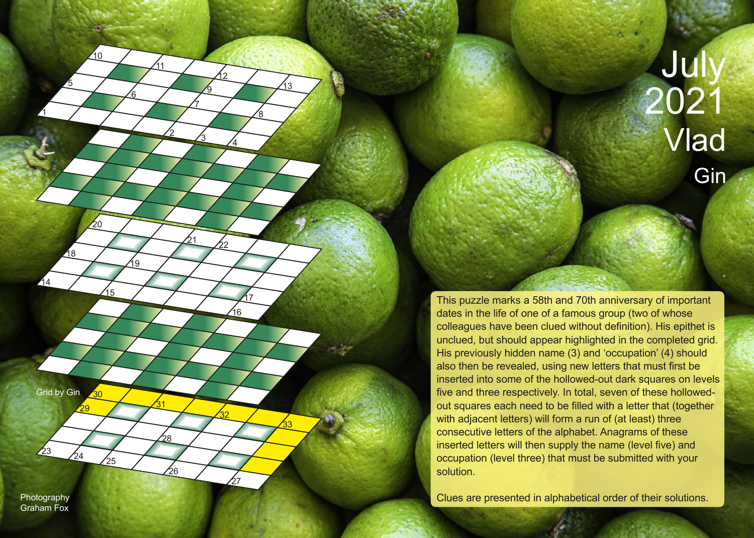Jul 2021 Vlad **Gin** 

This puzzle marks a 58th and 70th anniversary of important dates in the life of one of a famous group (two of whose colleagues have been clued without definition). His epithet is unclued, but should appear highlighted in the completed grid. His previously hidden name (3) and 'occupation' (4) should also then be revealed, using new letters that must first be inserted into some of the hollowed-out dark squares on levels five and three respectively. In total, seven of these hollowedout squares each need to be filled with a letter that (together with adjacent letters) will form a run of (at least) three consecutive letters of the alphabet. Anagrams of these inserted letters will then supply the name (level five) and occupation (level three) that must be submitted with your solution.

Photography **Clues are presented in alphabetical order of their solutions.** 

Grid by Gin

29

 $\overline{30}$ 

 $\frac{24}{25}$ 

31

26

28

1

14

18

5

 $10<sup>1</sup>$ 

15

20

19

2

11

7

9

 $\overline{2}$ 

3

21

8

4

16

<u>17</u>

27

33

32

22

13

6

Graham Fox

23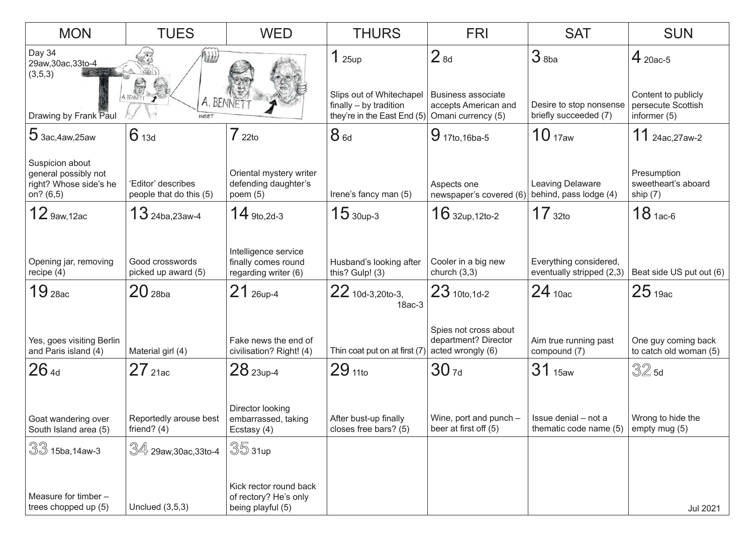| <b>MON</b>                                                                                                 | <b>TUES</b>                                         | <b>WED</b>                                                                         | <b>THURS</b>                                                                                                      | <b>FRI</b>                                                           | <b>SAT</b>                                                                | <b>SUN</b>                                                              |
|------------------------------------------------------------------------------------------------------------|-----------------------------------------------------|------------------------------------------------------------------------------------|-------------------------------------------------------------------------------------------------------------------|----------------------------------------------------------------------|---------------------------------------------------------------------------|-------------------------------------------------------------------------|
| Day 34<br>29aw, 30ac, 33to-4<br>(3,5,3)<br>A BENNETT<br>A. BENNET<br>Drawing by Frank Paul<br><b>INSET</b> |                                                     |                                                                                    | 125up<br>Slips out of Whitechapel<br>finally - by tradition<br>they're in the East End $(5)$ Omani currency $(5)$ | 2 <sub>8d</sub><br><b>Business associate</b><br>accepts American and | $3$ <sub>8ba</sub><br>Desire to stop nonsense<br>briefly succeeded (7)    | $4$ 20ac-5<br>Content to publicly<br>persecute Scottish<br>informer (5) |
| $5$ 3ac, 4aw, 25aw                                                                                         | 6 <sub>13d</sub>                                    | $722$ to                                                                           | 8 <sub>6d</sub>                                                                                                   | 9 17to, 16ba-5                                                       | 10 <sub>17aw</sub>                                                        | $11$ 24ac, 27aw-2                                                       |
| Suspicion about<br>general possibly not<br>right? Whose side's he<br>on? (6,5)                             | 'Editor' describes<br>people that do this (5)       | Oriental mystery writer<br>defending daughter's<br>poem $(5)$                      | Irene's fancy man (5)                                                                                             | Aspects one<br>newspaper's covered (6)                               | Leaving Delaware<br>behind, pass lodge (4)                                | Presumption<br>sweetheart's aboard<br>ship (7)                          |
| 12 9aw, 12ac                                                                                               | $13$ 24ba, 23aw-4                                   | $14$ 9to, 2d-3                                                                     | $1530up-3$                                                                                                        | $16$ 32up, 12to-2                                                    | $17_{\,32}$ to                                                            | $18$ 1ac-6                                                              |
| Opening jar, removing<br>recipe $(4)$<br>$19$ $_{28ac}$                                                    | Good crosswords<br>picked up award (5)<br>$20$ 28ba | Intelligence service<br>finally comes round<br>regarding writer (6)<br>$21$ 26up-4 | Husband's looking after<br>this? Gulp! (3)<br>$22$ 10d-3,20to-3,<br>18ac-3                                        | Cooler in a big new<br>church $(3,3)$<br>$23$ 10to, 1d-2             | Everything considered,<br>eventually stripped (2,3)<br>24 <sub>10ac</sub> | Beat side US put out (6)<br>25 <sub>19ac</sub>                          |
| Yes, goes visiting Berlin<br>and Paris island (4)                                                          | Material girl (4)                                   | Fake news the end of<br>civilisation? Right! (4)                                   | Thin coat put on at first (7)                                                                                     | Spies not cross about<br>department? Director<br>acted wrongly (6)   | Aim true running past<br>compound (7)                                     | One guy coming back<br>to catch old woman (5)                           |
| 264d                                                                                                       | $27$ 21ac                                           | $28$ 23up-4                                                                        | $29_{110}$                                                                                                        | 30 <sub>7d</sub>                                                     | 31 <sub>15aw</sub>                                                        | $32$ 5d                                                                 |
| Goat wandering over<br>South Island area (5)                                                               | Reportedly arouse best<br>friend? $(4)$             | Director looking<br>embarrassed, taking<br>Ecstasy (4)                             | After bust-up finally<br>closes free bars? (5)                                                                    | Wine, port and punch –<br>beer at first off (5)                      | Issue denial – not a<br>thematic code name (5)                            | Wrong to hide the<br>empty mug (5)                                      |
| $\sqrt[3]{3}$ 15ba,14aw-3                                                                                  | $\sqrt[3]{4}$ 29aw,30ac,33to-4                      | $35$ 31up                                                                          |                                                                                                                   |                                                                      |                                                                           |                                                                         |
| Measure for timber -<br>trees chopped up (5)                                                               | Unclued $(3,5,3)$                                   | Kick rector round back<br>of rectory? He's only<br>being playful (5)               |                                                                                                                   |                                                                      |                                                                           | Jul 2021                                                                |